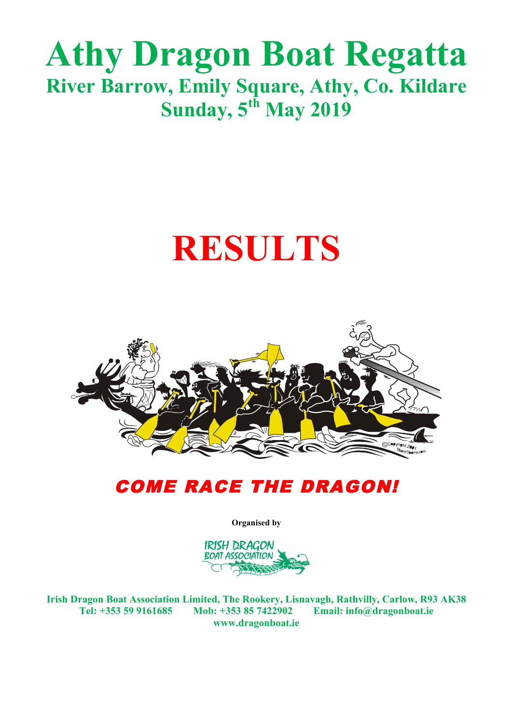# **RESULTS**



### COME RACE THE DRAGON!

**Organised by**



**Irish Dragon Boat Association Limited, The Rookery, Lisnavagh, Rathvilly, Carlow, R93 AK38 Tel: +353 59 9161685 Mob: +353 85 7422902 Email: info@dragonboat.ie www.dragonboat.ie**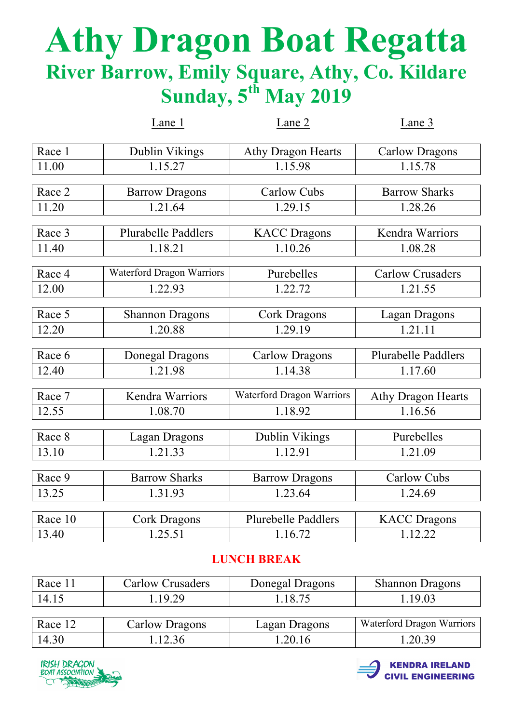|         | Lane 1                           | Lane 2                           | Lane 3                     |
|---------|----------------------------------|----------------------------------|----------------------------|
| Race 1  | Dublin Vikings                   | <b>Athy Dragon Hearts</b>        | <b>Carlow Dragons</b>      |
| 11.00   | 1.15.27                          | 1.15.98                          | 1.15.78                    |
|         |                                  |                                  |                            |
| Race 2  | <b>Barrow Dragons</b>            | <b>Carlow Cubs</b>               | <b>Barrow Sharks</b>       |
| 11.20   | 1.21.64                          | 1.29.15                          | 1.28.26                    |
|         |                                  |                                  |                            |
| Race 3  | <b>Plurabelle Paddlers</b>       | <b>KACC</b> Dragons              | Kendra Warriors            |
| 11.40   | 1.18.21                          | 1.10.26                          | 1.08.28                    |
| Race 4  | <b>Waterford Dragon Warriors</b> | Purebelles                       | <b>Carlow Crusaders</b>    |
|         |                                  |                                  |                            |
| 12.00   | 1.22.93                          | 1.22.72                          | 1.21.55                    |
|         |                                  |                                  |                            |
| Race 5  | <b>Shannon Dragons</b>           | <b>Cork Dragons</b>              | <b>Lagan Dragons</b>       |
| 12.20   | 1.20.88                          | 1.29.19                          | 1.21.11                    |
|         |                                  |                                  |                            |
| Race 6  | <b>Donegal Dragons</b>           | <b>Carlow Dragons</b>            | <b>Plurabelle Paddlers</b> |
| 12.40   | 1.21.98                          | 1.14.38                          | 1.17.60                    |
| Race 7  | Kendra Warriors                  | <b>Waterford Dragon Warriors</b> | <b>Athy Dragon Hearts</b>  |
|         |                                  |                                  |                            |
| 12.55   | 1.08.70                          | 1.18.92                          | 1.16.56                    |
| Race 8  | Lagan Dragons                    | Dublin Vikings                   | Purebelles                 |
| 13.10   | 1.21.33                          | 1.12.91                          | 1.21.09                    |
|         |                                  |                                  |                            |
| Race 9  | <b>Barrow Sharks</b>             | <b>Barrow Dragons</b>            | <b>Carlow Cubs</b>         |
| 13.25   | 1.31.93                          | 1.23.64                          | 1.24.69                    |
|         |                                  |                                  |                            |
| Race 10 | <b>Cork Dragons</b>              | <b>Plurebelle Paddlers</b>       | <b>KACC Dragons</b>        |
| 13.40   | 1.25.51                          | 1.16.72                          | 1.12.22                    |

#### **LUNCH BREAK**

| Race 11 | <b>Carlow Crusaders</b> | Donegal Dragons | <b>Shannon Dragons</b>           |
|---------|-------------------------|-----------------|----------------------------------|
| 14.15   | 1.19.29                 | .18.75          | 1.19.03                          |
|         |                         |                 |                                  |
| Race 12 | Carlow Dragons          | Lagan Dragons   | <b>Waterford Dragon Warriors</b> |
| 14.30   | 1.12.36                 | .20.16          | 1.20.39                          |



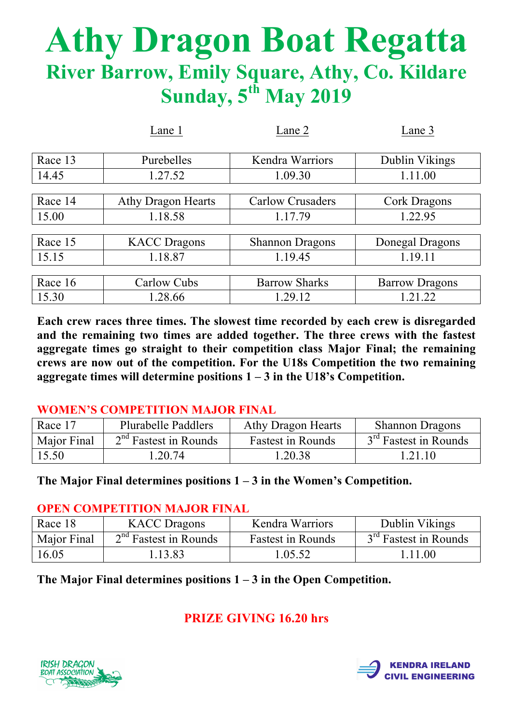|         | Lane 1                    | Lane 2                  | Lane 3                |
|---------|---------------------------|-------------------------|-----------------------|
|         |                           |                         |                       |
| Race 13 | Purebelles                | <b>Kendra Warriors</b>  | Dublin Vikings        |
| 14.45   | 1.27.52                   | 1.09.30                 | 1.11.00               |
|         |                           |                         |                       |
| Race 14 | <b>Athy Dragon Hearts</b> | <b>Carlow Crusaders</b> | Cork Dragons          |
| 15.00   | 1.18.58                   | 1.17.79                 | 1.22.95               |
|         |                           |                         |                       |
| Race 15 | <b>KACC</b> Dragons       | <b>Shannon Dragons</b>  | Donegal Dragons       |
| 15.15   | 1.18.87                   | 1.19.45                 | 1.19.11               |
|         |                           |                         |                       |
| Race 16 | Carlow Cubs               | <b>Barrow Sharks</b>    | <b>Barrow Dragons</b> |
| 15.30   | 1.28.66                   | 1.29.12                 | 1.21.22               |

**Each crew races three times. The slowest time recorded by each crew is disregarded and the remaining two times are added together. The three crews with the fastest aggregate times go straight to their competition class Major Final; the remaining crews are now out of the competition. For the U18s Competition the two remaining aggregate times will determine positions 1 – 3 in the U18's Competition.**

#### **WOMEN'S COMPETITION MAJOR FINAL**

| Race 17     | Plurabelle Paddlers     | Athy Dragon Hearts       | <b>Shannon Dragons</b>            |
|-------------|-------------------------|--------------------------|-----------------------------------|
| Major Final | $2nd$ Fastest in Rounds | <b>Fastest in Rounds</b> | 3 <sup>rd</sup> Fastest in Rounds |
| 15.50       | 1.20.74                 | 1.20.38                  | 1.21.10                           |

#### **The Major Final determines positions 1 – 3 in the Women's Competition.**

#### **OPEN COMPETITION MAJOR FINAL**

| Race 18     | <b>KACC</b> Dragons     | <b>Kendra Warriors</b>   | Dublin Vikings                    |
|-------------|-------------------------|--------------------------|-----------------------------------|
| Major Final | $2nd$ Fastest in Rounds | <b>Fastest in Rounds</b> | 3 <sup>rd</sup> Fastest in Rounds |
| 16.05       | 1.13.83                 | 1.05.52                  | 1.11.00                           |

**The Major Final determines positions 1 – 3 in the Open Competition.**

#### **PRIZE GIVING 16.20 hrs**